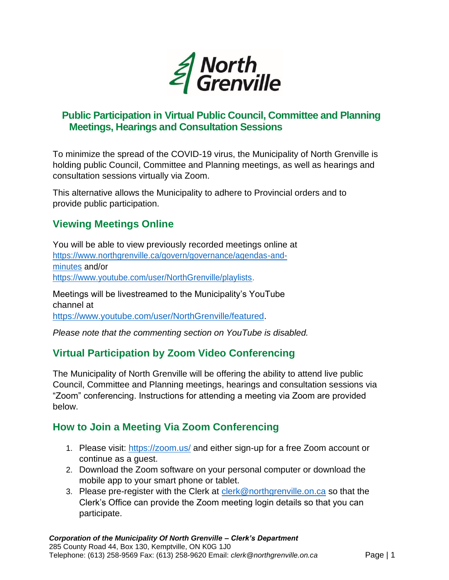

# **Public Participation in Virtual Public Council, Committee and Planning Meetings, Hearings and Consultation Sessions**

To minimize the spread of the COVID-19 virus, the Municipality of North Grenville is holding public Council, Committee and Planning meetings, as well as hearings and consultation sessions virtually via Zoom.

This alternative allows the Municipality to adhere to Provincial orders and to provide public participation.

# **Viewing Meetings Online**

You will be able to view previously recorded meetings online at https://www.northgrenville.ca/govern/governance/agendas-andminutes and/or https://www.youtube.com/user/NorthGrenville/playlists.

Meetings will be livestreamed to the Municipality's YouTube channel at https://www.youtube.com/user/NorthGrenville/featured.

*Please note that the commenting section on YouTube is disabled.*

# **Virtual Participation by Zoom Video Conferencing**

The Municipality of North Grenville will be offering the ability to attend live public Council, Committee and Planning meetings, hearings and consultation sessions via "Zoom" conferencing. Instructions for attending a meeting via Zoom are provided below.

### **How to Join a Meeting Via Zoom Conferencing**

- 1. Please visit: https://zoom.us/ and either sign-up for a free Zoom account or continue as a guest.
- 2. Download the Zoom software on your personal computer or download the mobile app to your smart phone or tablet.
- 3. Please pre-register with the Clerk at clerk@northgrenville.on.ca so that the Clerk's Office can provide the Zoom meeting login details so that you can participate.